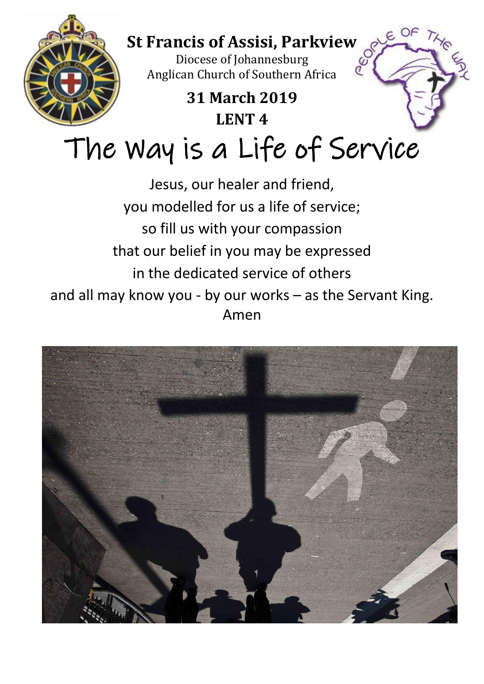

that our belief in you may be expressed

in the dedicated service of others

and all may know you - by our works – as the Servant King. Amen

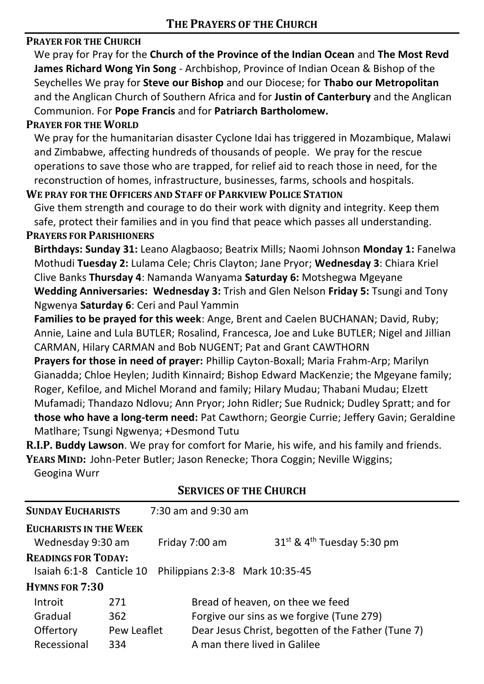## **PRAYER FOR THE CHURCH**

We pray for Pray for the **Church of the Province of the Indian Ocean** and **The Most Revd James Richard Wong Yin Song** - Archbishop, Province of Indian Ocean & Bishop of the Seychelles We pray for **Steve our Bishop** and our Diocese; for **Thabo our Metropolitan** and the Anglican Church of Southern Africa and for **Justin of Canterbury** and the Anglican Communion. For **Pope Francis** and for **Patriarch Bartholomew.** 

#### **PRAYER FOR THE WORLD**

We pray for the humanitarian disaster Cyclone Idai has triggered in Mozambique, Malawi and Zimbabwe, affecting hundreds of thousands of people. We pray for the rescue operations to save those who are trapped, for relief aid to reach those in need, for the reconstruction of homes, infrastructure, businesses, farms, schools and hospitals.

#### **WE PRAY FOR THE OFFICERS AND STAFF OF PARKVIEW POLICE STATION**

Give them strength and courage to do their work with dignity and integrity. Keep them safe, protect their families and in you find that peace which passes all understanding.

#### **PRAYERS FOR PARISHIONERS**

**Birthdays: Sunday 31:** Leano Alagbaoso; Beatrix Mills; Naomi Johnson **Monday 1:** Fanelwa Mothudi **Tuesday 2:** Lulama Cele; Chris Clayton; Jane Pryor; **Wednesday 3**: Chiara Kriel Clive Banks **Thursday 4**: Namanda Wanyama **Saturday 6:** Motshegwa Mgeyane **Wedding Anniversaries: Wednesday 3:** Trish and Glen Nelson **Friday 5:** Tsungi and Tony Ngwenya **Saturday 6**: Ceri and Paul Yammin

**Families to be prayed for this week**: Ange, Brent and Caelen BUCHANAN; David, Ruby; Annie, Laine and Lula BUTLER; Rosalind, Francesca, Joe and Luke BUTLER; Nigel and Jillian CARMAN, Hilary CARMAN and Bob NUGENT; Pat and Grant CAWTHORN

**Prayers for those in need of prayer:** Phillip Cayton-Boxall; Maria Frahm-Arp; Marilyn Gianadda; Chloe Heylen; Judith Kinnaird; Bishop Edward MacKenzie; the Mgeyane family; Roger, Kefiloe, and Michel Morand and family; Hilary Mudau; Thabani Mudau; Elzett Mufamadi; Thandazo Ndlovu; Ann Pryor; John Ridler; Sue Rudnick; Dudley Spratt; and for **those who have a long-term need:** Pat Cawthorn; Georgie Currie; Jeffery Gavin; Geraldine Matlhare; Tsungi Ngwenya; +Desmond Tutu

**R.I.P. Buddy Lawson**. We pray for comfort for Marie, his wife, and his family and friends. **YEARS MIND:** John-Peter Butler; Jason Renecke; Thora Coggin; Neville Wiggins;

Geogina Wurr

| <b>SUNDAY EUCHARISTS</b>      |             | $7:30$ am and $9:30$ am                                              |  |  |  |
|-------------------------------|-------------|----------------------------------------------------------------------|--|--|--|
| <b>EUCHARISTS IN THE WEEK</b> |             |                                                                      |  |  |  |
| Wednesday 9:30 am             |             | 31 <sup>st</sup> & 4 <sup>th</sup> Tuesday 5:30 pm<br>Friday 7:00 am |  |  |  |
| <b>READINGS FOR TODAY:</b>    |             |                                                                      |  |  |  |
| Isaiah 6:1-8 Canticle 10      |             | Philippians 2:3-8 Mark 10:35-45                                      |  |  |  |
| <b>HYMNS FOR 7:30</b>         |             |                                                                      |  |  |  |
| Introit                       | 271         | Bread of heaven, on thee we feed                                     |  |  |  |
| Gradual                       | 362         | Forgive our sins as we forgive (Tune 279)                            |  |  |  |
| Offertory                     | Pew Leaflet | Dear Jesus Christ, begotten of the Father (Tune 7)                   |  |  |  |
| Recessional                   | 334         | A man there lived in Galilee                                         |  |  |  |

#### **SERVICES OF THE CHURCH**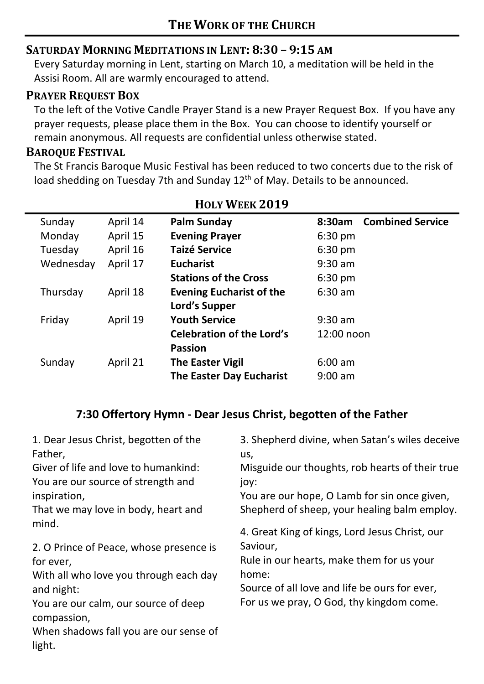## **SATURDAY MORNING MEDITATIONS IN LENT: 8:30 – 9:15 AM**

Every Saturday morning in Lent, starting on March 10, a meditation will be held in the Assisi Room. All are warmly encouraged to attend.

## **PRAYER REQUEST BOX**

To the left of the Votive Candle Prayer Stand is a new Prayer Request Box. If you have any prayer requests, please place them in the Box. You can choose to identify yourself or remain anonymous. All requests are confidential unless otherwise stated.

#### **BAROQUE FESTIVAL**

The St Francis Baroque Music Festival has been reduced to two concerts due to the risk of load shedding on Tuesday 7th and Sunday 12<sup>th</sup> of May. Details to be announced.

| Sunday    | April 14 | Palm Sunday                      | <b>Combined Service</b><br>8:30am |  |
|-----------|----------|----------------------------------|-----------------------------------|--|
| Monday    | April 15 | <b>Evening Prayer</b>            | $6:30$ pm                         |  |
| Tuesday   | April 16 | <b>Taizé Service</b>             | $6:30$ pm                         |  |
| Wednesday | April 17 | <b>Eucharist</b>                 | $9:30$ am                         |  |
|           |          | <b>Stations of the Cross</b>     | $6:30 \text{ pm}$                 |  |
| Thursday  | April 18 | <b>Evening Eucharist of the</b>  | $6:30$ am                         |  |
|           |          | Lord's Supper                    |                                   |  |
| Friday    | April 19 | <b>Youth Service</b>             | $9:30$ am                         |  |
|           |          | <b>Celebration of the Lord's</b> | 12:00 noon                        |  |
|           |          | <b>Passion</b>                   |                                   |  |
| Sunday    | April 21 | <b>The Easter Vigil</b>          | 6:00 am                           |  |
|           |          | The Easter Day Eucharist         | $9:00 \text{ am}$                 |  |

## **HOLY WEEK 2019**

## **7:30 Offertory Hymn - Dear Jesus Christ, begotten of the Father**

| 1. Dear Jesus Christ, begotten of the<br>Father, | 3. Shepherd divine, when Satan's wiles deceive<br>us, |
|--------------------------------------------------|-------------------------------------------------------|
| Giver of life and love to humankind:             | Misguide our thoughts, rob hearts of their true       |
| You are our source of strength and               | joy:                                                  |
| inspiration,                                     | You are our hope, O Lamb for sin once given,          |
| That we may love in body, heart and              | Shepherd of sheep, your healing balm employ.          |
| mind.                                            | 4. Great King of kings, Lord Jesus Christ, our        |
| 2. O Prince of Peace, whose presence is          | Saviour,                                              |
| for ever,                                        | Rule in our hearts, make them for us your             |
| With all who love you through each day           | home:                                                 |
| and night:                                       | Source of all love and life be ours for ever,         |
| You are our calm, our source of deep             | For us we pray, O God, thy kingdom come.              |
| compassion,                                      |                                                       |
| When shadows fall you are our sense of           |                                                       |
| light.                                           |                                                       |